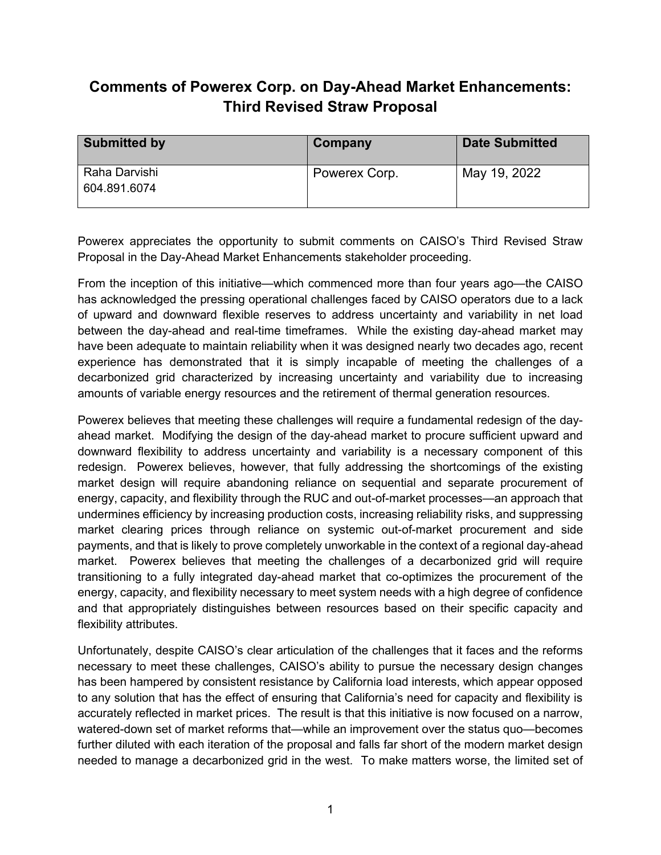## **Comments of Powerex Corp. on Day-Ahead Market Enhancements: Third Revised Straw Proposal**

| <b>Submitted by</b>           | Company       | <b>Date Submitted</b> |
|-------------------------------|---------------|-----------------------|
| Raha Darvishi<br>604.891.6074 | Powerex Corp. | May 19, 2022          |

Powerex appreciates the opportunity to submit comments on CAISO's Third Revised Straw Proposal in the Day-Ahead Market Enhancements stakeholder proceeding.

From the inception of this initiative—which commenced more than four years ago—the CAISO has acknowledged the pressing operational challenges faced by CAISO operators due to a lack of upward and downward flexible reserves to address uncertainty and variability in net load between the day-ahead and real-time timeframes. While the existing day-ahead market may have been adequate to maintain reliability when it was designed nearly two decades ago, recent experience has demonstrated that it is simply incapable of meeting the challenges of a decarbonized grid characterized by increasing uncertainty and variability due to increasing amounts of variable energy resources and the retirement of thermal generation resources.

Powerex believes that meeting these challenges will require a fundamental redesign of the dayahead market. Modifying the design of the day-ahead market to procure sufficient upward and downward flexibility to address uncertainty and variability is a necessary component of this redesign. Powerex believes, however, that fully addressing the shortcomings of the existing market design will require abandoning reliance on sequential and separate procurement of energy, capacity, and flexibility through the RUC and out-of-market processes—an approach that undermines efficiency by increasing production costs, increasing reliability risks, and suppressing market clearing prices through reliance on systemic out-of-market procurement and side payments, and that is likely to prove completely unworkable in the context of a regional day-ahead market. Powerex believes that meeting the challenges of a decarbonized grid will require transitioning to a fully integrated day-ahead market that co-optimizes the procurement of the energy, capacity, and flexibility necessary to meet system needs with a high degree of confidence and that appropriately distinguishes between resources based on their specific capacity and flexibility attributes.

Unfortunately, despite CAISO's clear articulation of the challenges that it faces and the reforms necessary to meet these challenges, CAISO's ability to pursue the necessary design changes has been hampered by consistent resistance by California load interests, which appear opposed to any solution that has the effect of ensuring that California's need for capacity and flexibility is accurately reflected in market prices. The result is that this initiative is now focused on a narrow, watered-down set of market reforms that—while an improvement over the status quo—becomes further diluted with each iteration of the proposal and falls far short of the modern market design needed to manage a decarbonized grid in the west. To make matters worse, the limited set of